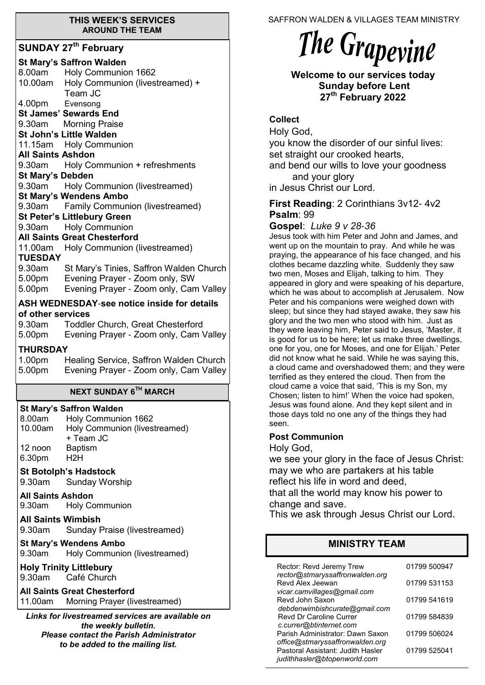#### **THIS WEEK'S SERVICES AROUND THE TEAM**

#### **SUNDAY 27th February**

|                           | <b>St Mary's Saffron Walden</b><br>8.00am Holy Communion 1662                          |
|---------------------------|----------------------------------------------------------------------------------------|
|                           | 10.00am Holy Communion (livestreamed) +<br>Team JC                                     |
| 4.00pm Evensong           |                                                                                        |
|                           | <b>St James' Sewards End</b>                                                           |
|                           | 9.30am Morning Praise                                                                  |
|                           | St John's Little Walden                                                                |
|                           | 11.15am Holy Communion                                                                 |
| <b>All Saints Ashdon</b>  |                                                                                        |
|                           | 9.30am Holy Communion + refreshments                                                   |
| <b>St Mary's Debden</b>   | 9.30am Holy Communion (livestreamed)                                                   |
|                           | <b>St Mary's Wendens Ambo</b>                                                          |
|                           | 9.30am Family Communion (livestreamed)                                                 |
|                           | <b>St Peter's Littlebury Green</b>                                                     |
|                           | 9.30am Holy Communion                                                                  |
|                           | <b>All Saints Great Chesterford</b>                                                    |
|                           | 11.00am Holy Communion (livestreamed)                                                  |
| <b>TUESDAY</b>            |                                                                                        |
|                           | 9.30am St Mary's Tinies, Saffron Walden Church                                         |
|                           |                                                                                        |
|                           | 5.00pm Evening Prayer - Zoom only, SW<br>5.00pm Evening Prayer - Zoom only, Cam Valley |
|                           | ASH WEDNESDAY-see notice inside for details                                            |
| of other services         |                                                                                        |
| 9.30am                    | <b>Toddler Church, Great Chesterford</b>                                               |
| 5.00pm                    | Evening Prayer - Zoom only, Cam Valley                                                 |
| <b>THURSDAY</b>           |                                                                                        |
|                           | 1.00pm Healing Service, Saffron Walden Church                                          |
|                           | 5.00pm Evening Prayer - Zoom only, Cam Valley                                          |
|                           |                                                                                        |
|                           | <b>NEXT SUNDAY 6TH MARCH</b>                                                           |
|                           | <b>St Mary's Saffron Walden</b>                                                        |
| 8.00am                    | Holy Communion 1662                                                                    |
| 10.00am                   | Holy Communion (livestreamed)<br>+ Team JC                                             |
| 12 noon                   | <b>Baptism</b>                                                                         |
| 6.30pm                    | H2H                                                                                    |
|                           |                                                                                        |
|                           | <b>St Botolph's Hadstock</b>                                                           |
| 9.30am                    | <b>Sunday Worship</b>                                                                  |
| <b>All Saints Ashdon</b>  |                                                                                        |
| 9.30am                    | <b>Holy Communion</b>                                                                  |
| <b>All Saints Wimbish</b> |                                                                                        |
| 9.30am                    | Sunday Praise (livestreamed)                                                           |
|                           | <b>St Mary's Wendens Ambo</b>                                                          |
| 9.30am                    | Holy Communion (livestreamed)                                                          |
|                           | <b>Holy Trinity Littlebury</b>                                                         |
| 9.30am                    | Café Church                                                                            |
|                           | <b>All Saints Great Chesterford</b>                                                    |
| 11.00am                   |                                                                                        |
|                           |                                                                                        |
|                           | Morning Prayer (livestreamed)<br>Links for livestroamed senvices are available on      |

*Links for livestreamed services are available on the weekly bulletin. Please contact the Parish Administrator to be added to the mailing list.*

SAFFRON WALDEN & VILLAGES TEAM MINISTRY

# The Grapevine

**Welcome to our services today Sunday before Lent 27th February 2022**

#### **Collect**

Holy God, you know the disorder of our sinful lives: set straight our crooked hearts, and bend our wills to love your goodness and your glory in Jesus Christ our Lord.

#### **First Reading**: 2 Corinthians 3v12- 4v2 **Psalm**: 99

**Gospel**: *Luke 9 v 28-36*

Jesus took with him Peter and John and James, and went up on the mountain to pray. And while he was praying, the appearance of his face changed, and his clothes became dazzling white. Suddenly they saw two men, Moses and Elijah, talking to him. They appeared in glory and were speaking of his departure, which he was about to accomplish at Jerusalem. Now Peter and his companions were weighed down with sleep; but since they had stayed awake, they saw his glory and the two men who stood with him. Just as they were leaving him, Peter said to Jesus, 'Master, it is good for us to be here; let us make three dwellings, one for you, one for Moses, and one for Elijah.' Peter did not know what he said. While he was saying this, a cloud came and overshadowed them; and they were terrified as they entered the cloud. Then from the cloud came a voice that said, 'This is my Son, my Chosen; listen to him!' When the voice had spoken, Jesus was found alone. And they kept silent and in those days told no one any of the things they had seen.

## **Post Communion**

Holy God,

we see your glory in the face of Jesus Christ: may we who are partakers at his table reflect his life in word and deed, that all the world may know his power to change and save.

This we ask through Jesus Christ our Lord.

# **MINISTRY TEAM**

| Rector: Revd Jeremy Trew<br>rector@stmaryssaffronwalden.org       | 01799 500947 |
|-------------------------------------------------------------------|--------------|
| Revd Alex Jeewan                                                  | 01799 531153 |
| vicar.camvillages@gmail.com<br>Revd John Saxon                    | 01799 541619 |
| debdenwimbishcurate@gmail.com<br><b>Revd Dr Caroline Currer</b>   | 01799 584839 |
| c.currer@btinternet.com<br>Parish Administrator: Dawn Saxon       | 01799 506024 |
| office@stmaryssaffronwalden.org                                   |              |
| Pastoral Assistant: Judith Hasler<br>judithhasler@btopenworld.com | 01799 525041 |